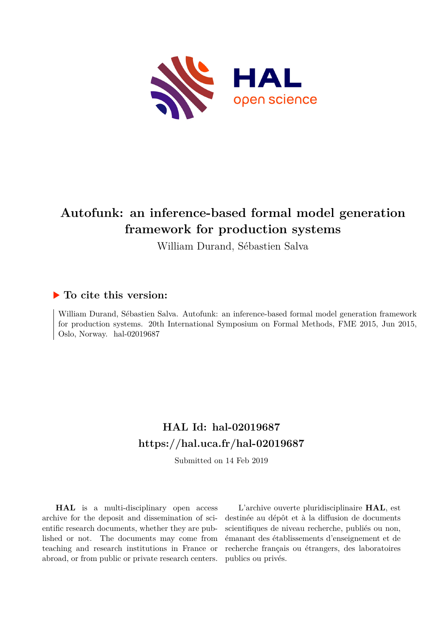

# **Autofunk: an inference-based formal model generation framework for production systems**

William Durand, Sébastien Salva

## **To cite this version:**

William Durand, Sébastien Salva. Autofunk: an inference-based formal model generation framework for production systems. 20th International Symposium on Formal Methods, FME 2015, Jun 2015, Oslo, Norway. hal-02019687

# **HAL Id: hal-02019687 <https://hal.uca.fr/hal-02019687>**

Submitted on 14 Feb 2019

**HAL** is a multi-disciplinary open access archive for the deposit and dissemination of scientific research documents, whether they are published or not. The documents may come from teaching and research institutions in France or abroad, or from public or private research centers.

L'archive ouverte pluridisciplinaire **HAL**, est destinée au dépôt et à la diffusion de documents scientifiques de niveau recherche, publiés ou non, émanant des établissements d'enseignement et de recherche français ou étrangers, des laboratoires publics ou privés.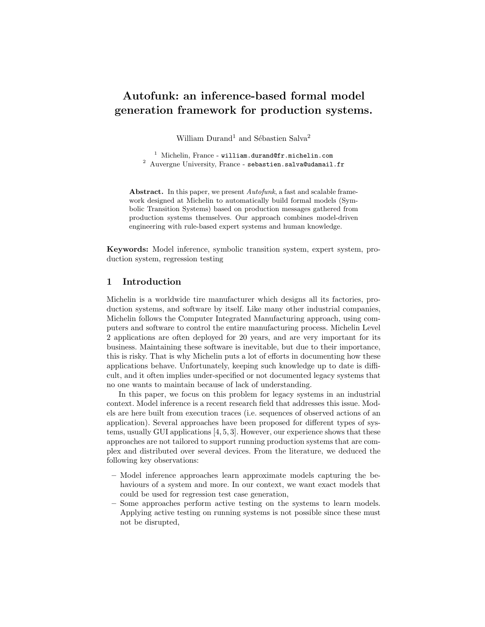## Autofunk: an inference-based formal model generation framework for production systems.

William Durand<sup>1</sup> and Sébastien Salva<sup>2</sup>

<sup>1</sup> Michelin, France - william.durand@fr.michelin.com <sup>2</sup> Auvergne University, France - sebastien.salva@udamail.fr

Abstract. In this paper, we present Autofunk, a fast and scalable framework designed at Michelin to automatically build formal models (Symbolic Transition Systems) based on production messages gathered from production systems themselves. Our approach combines model-driven engineering with rule-based expert systems and human knowledge.

Keywords: Model inference, symbolic transition system, expert system, production system, regression testing

## 1 Introduction

Michelin is a worldwide tire manufacturer which designs all its factories, production systems, and software by itself. Like many other industrial companies, Michelin follows the Computer Integrated Manufacturing approach, using computers and software to control the entire manufacturing process. Michelin Level 2 applications are often deployed for 20 years, and are very important for its business. Maintaining these software is inevitable, but due to their importance, this is risky. That is why Michelin puts a lot of efforts in documenting how these applications behave. Unfortunately, keeping such knowledge up to date is difficult, and it often implies under-specified or not documented legacy systems that no one wants to maintain because of lack of understanding.

In this paper, we focus on this problem for legacy systems in an industrial context. Model inference is a recent research field that addresses this issue. Models are here built from execution traces (i.e. sequences of observed actions of an application). Several approaches have been proposed for different types of systems, usually GUI applications [4, 5, 3]. However, our experience shows that these approaches are not tailored to support running production systems that are complex and distributed over several devices. From the literature, we deduced the following key observations:

- Model inference approaches learn approximate models capturing the behaviours of a system and more. In our context, we want exact models that could be used for regression test case generation,
- Some approaches perform active testing on the systems to learn models. Applying active testing on running systems is not possible since these must not be disrupted,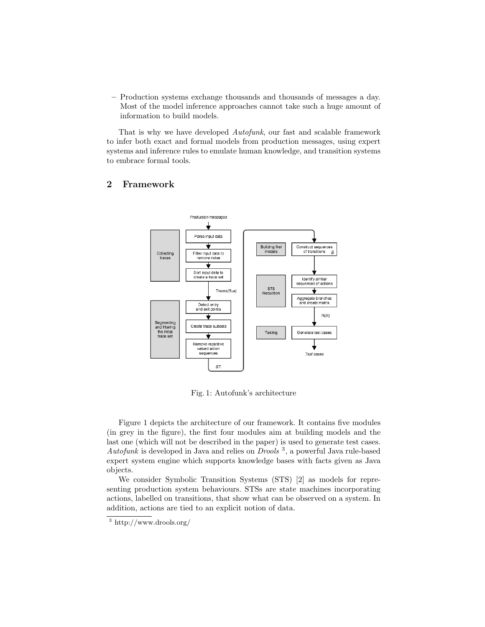– Production systems exchange thousands and thousands of messages a day. Most of the model inference approaches cannot take such a huge amount of information to build models.

That is why we have developed Autofunk, our fast and scalable framework to infer both exact and formal models from production messages, using expert systems and inference rules to emulate human knowledge, and transition systems to embrace formal tools.

#### Production messages Parse input data ₹ **Building first** Construct sequences<br>6 of transitions models Filter input data to<br>remove noise  $\delta$ Collecting traces ▼ Sort input data to create a trace set Identify similar<br>sequences of actions **STS** Traces (Sua) ₹ Reduction Aggregate branches<br>and create matrix Detect entry<br>and exit points  $R(\delta i)$ ∓ Segmenting<br>and filtering<br>the initial<br>trace set Create trace subsets Testing Generate test cases ₹ Remove repetitive<br>valued action<br>sequences Test cases **ST**

## 2 Framework

Fig. 1: Autofunk's architecture

Figure 1 depicts the architecture of our framework. It contains five modules (in grey in the figure), the first four modules aim at building models and the last one (which will not be described in the paper) is used to generate test cases. Autofunk is developed in Java and relies on  $D \n{rools}$ <sup>3</sup>, a powerful Java rule-based expert system engine which supports knowledge bases with facts given as Java objects.

We consider Symbolic Transition Systems (STS) [2] as models for representing production system behaviours. STSs are state machines incorporating actions, labelled on transitions, that show what can be observed on a system. In addition, actions are tied to an explicit notion of data.

 $\frac{3 \text{ http://www.drools.org/}}{3}$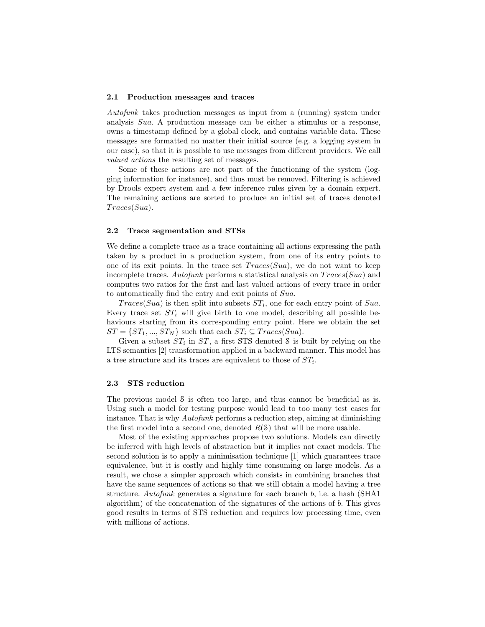#### 2.1 Production messages and traces

Autofunk takes production messages as input from a (running) system under analysis Sua. A production message can be either a stimulus or a response, owns a timestamp defined by a global clock, and contains variable data. These messages are formatted no matter their initial source (e.g. a logging system in our case), so that it is possible to use messages from different providers. We call valued actions the resulting set of messages.

Some of these actions are not part of the functioning of the system (logging information for instance), and thus must be removed. Filtering is achieved by Drools expert system and a few inference rules given by a domain expert. The remaining actions are sorted to produce an initial set of traces denoted  $Traces(Sua)$ .

### 2.2 Trace segmentation and STSs

We define a complete trace as a trace containing all actions expressing the path taken by a product in a production system, from one of its entry points to one of its exit points. In the trace set  $Trace(Sua)$ , we do not want to keep incomplete traces. Autofunk performs a statistical analysis on  $Traces(Sua)$  and computes two ratios for the first and last valued actions of every trace in order to automatically find the entry and exit points of Sua.

 $Trace(Sua)$  is then split into subsets  $ST_i$ , one for each entry point of  $Sua$ . Every trace set  $ST_i$  will give birth to one model, describing all possible behaviours starting from its corresponding entry point. Here we obtain the set  $ST = \{ST_1, ..., ST_N\}$  such that each  $ST_i \subseteq Traces(Sua)$ .

Given a subset  $ST_i$  in  $ST$ , a first STS denoted S is built by relying on the LTS semantics [2] transformation applied in a backward manner. This model has a tree structure and its traces are equivalent to those of  $ST_i$ .

### 2.3 STS reduction

The previous model S is often too large, and thus cannot be beneficial as is. Using such a model for testing purpose would lead to too many test cases for instance. That is why *Autofunk* performs a reduction step, aiming at diminishing the first model into a second one, denoted  $R(S)$  that will be more usable.

Most of the existing approaches propose two solutions. Models can directly be inferred with high levels of abstraction but it implies not exact models. The second solution is to apply a minimisation technique [1] which guarantees trace equivalence, but it is costly and highly time consuming on large models. As a result, we chose a simpler approach which consists in combining branches that have the same sequences of actions so that we still obtain a model having a tree structure. Autofunk generates a signature for each branch b, i.e. a hash (SHA1) algorithm) of the concatenation of the signatures of the actions of b. This gives good results in terms of STS reduction and requires low processing time, even with millions of actions.